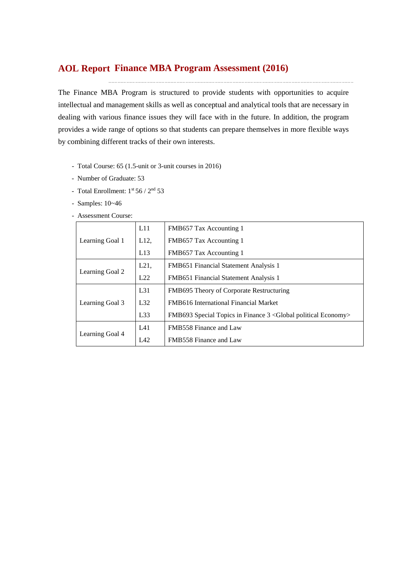# **Finance MBA Program Assessment (2016) AOL Report**

The Finance MBA Program is structured to provide students with opportunities to acquire intellectual and management skills as well as conceptual and analytical tools that are necessary in dealing with various finance issues they will face with in the future. In addition, the program provides a wide range of options so that students can prepare themselves in more flexible ways by combining different tracks of their own interests.

- Total Course: 65 (1.5-unit or 3-unit courses in 2016)
- Number of Graduate: 53
- Total Enrollment: 1st 56 / 2<sup>nd</sup> 53
- Samples: 10~46
- Assessment Course:

|                 | L11  | FMB657 Tax Accounting 1                                        |
|-----------------|------|----------------------------------------------------------------|
| Learning Goal 1 | L12, | FMB657 Tax Accounting 1                                        |
|                 | L13  | FMB657 Tax Accounting 1                                        |
|                 | L21, | FMB651 Financial Statement Analysis 1                          |
| Learning Goal 2 | L22  | FMB651 Financial Statement Analysis 1                          |
|                 | L31  | FMB695 Theory of Corporate Restructuring                       |
| Learning Goal 3 | L32  | <b>FMB616</b> International Financial Market                   |
|                 | L33  | FMB693 Special Topics in Finance 3 < Global political Economy> |
|                 | IA1  | FMB558 Finance and Law                                         |
| Learning Goal 4 | IA2  | FMB558 Finance and Law                                         |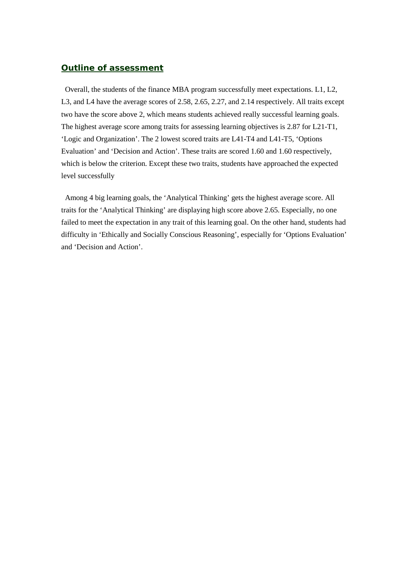### *Outline of assessment*

Overall, the students of the finance MBA program successfully meet expectations. L1, L2, L3, and L4 have the average scores of 2.58, 2.65, 2.27, and 2.14 respectively. All traits except two have the score above 2, which means students achieved really successful learning goals. The highest average score among traits for assessing learning objectives is 2.87 for L21-T1, 'Logic and Organization'. The 2 lowest scored traits are L41-T4 and L41-T5, 'Options Evaluation' and 'Decision and Action'. These traits are scored 1.60 and 1.60 respectively, which is below the criterion. Except these two traits, students have approached the expected level successfully

Among 4 big learning goals, the 'Analytical Thinking' gets the highest average score. All traits for the 'Analytical Thinking' are displaying high score above 2.65. Especially, no one failed to meet the expectation in any trait of this learning goal. On the other hand, students had difficulty in 'Ethically and Socially Conscious Reasoning', especially for 'Options Evaluation' and 'Decision and Action'.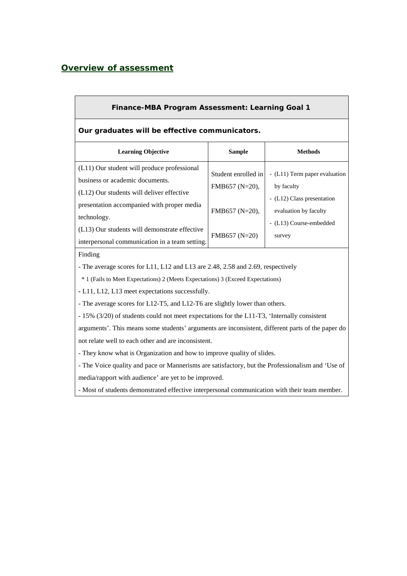## *Overview of assessment*

| Finance-MBA Program Assessment: Learning Goal 1                                                                                                                                                                                                                                                                                                                                                                                                                                                                                                                            |                                                                          |                                                                                                                                         |  |  |  |  |  |  |  |
|----------------------------------------------------------------------------------------------------------------------------------------------------------------------------------------------------------------------------------------------------------------------------------------------------------------------------------------------------------------------------------------------------------------------------------------------------------------------------------------------------------------------------------------------------------------------------|--------------------------------------------------------------------------|-----------------------------------------------------------------------------------------------------------------------------------------|--|--|--|--|--|--|--|
| Our graduates will be effective communicators.                                                                                                                                                                                                                                                                                                                                                                                                                                                                                                                             |                                                                          |                                                                                                                                         |  |  |  |  |  |  |  |
| <b>Learning Objective</b>                                                                                                                                                                                                                                                                                                                                                                                                                                                                                                                                                  | <b>Sample</b>                                                            | <b>Methods</b>                                                                                                                          |  |  |  |  |  |  |  |
| (L11) Our student will produce professional<br>business or academic documents.<br>(L12) Our students will deliver effective<br>presentation accompanied with proper media<br>technology.<br>(L13) Our students will demonstrate effective<br>interpersonal communication in a team setting.                                                                                                                                                                                                                                                                                | Student enrolled in<br>FMB657 (N=20),<br>FMB657 (N=20),<br>FMB657 (N=20) | - (L11) Term paper evaluation<br>by faculty<br>- (L12) Class presentation<br>evaluation by faculty<br>- (L13) Course-embedded<br>survey |  |  |  |  |  |  |  |
| Finding<br>- The average scores for L11, L12 and L13 are 2.48, 2.58 and 2.69, respectively<br>* 1 (Fails to Meet Expectations) 2 (Meets Expectations) 3 (Exceed Expectations)<br>- L11, L12, L13 meet expectations successfully.<br>- The average scores for L12-T5, and L12-T6 are slightly lower than others.<br>- 15% (3/20) of students could not meet expectations for the L11-T3, 'Internally consistent<br>arguments'. This means some students' arguments are inconsistent, different parts of the paper do<br>not relate well to each other and are inconsistent. |                                                                          |                                                                                                                                         |  |  |  |  |  |  |  |

- They know what is Organization and how to improve quality of slides.

- The Voice quality and pace or Mannerisms are satisfactory, but the Professionalism and 'Use of media/rapport with audience' are yet to be improved.

- Most of students demonstrated effective interpersonal communication with their team member.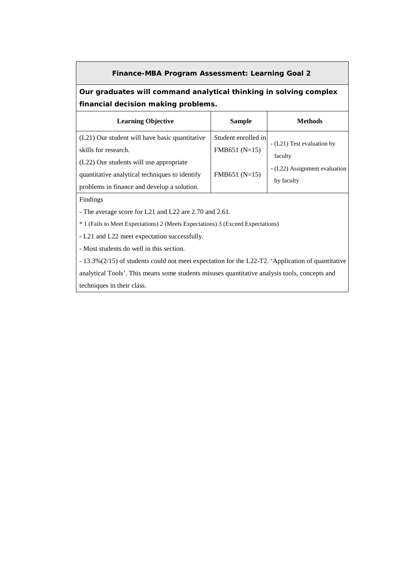### **Finance-MBA Program Assessment: Learning Goal 2**

## **Our graduates will command analytical thinking in solving complex financial decision making problems.**

| <b>Learning Objective</b>                      | <b>Sample</b>       | <b>Methods</b>                              |
|------------------------------------------------|---------------------|---------------------------------------------|
| (L21) Our student will have basic quantitative | Student enrolled in |                                             |
| skills for research.                           | FMB651 (N=15)       | - (L21) Test evaluation by<br>faculty       |
| (L22) Our students will use appropriate        |                     |                                             |
| quantitative analytical techniques to identify | $FMB651(N=15)$      | - (L22) Assignment evaluation<br>by faculty |
| problems in finance and develop a solution.    |                     |                                             |

Findings

- The average score for L21 and L22 are 2.70 and 2.61.

\* 1 (Fails to Meet Expectations) 2 (Meets Expectations) 3 (Exceed Expectations)

**-** L21 and L22 meet expectation successfully.

- Most students do well in this section.

- 13.3%(2/15) of students could not meet expectation for the L22-T2. 'Application of quantitative analytical Tools'. This means some students misuses quantitative analysis tools, concepts and techniques in their class.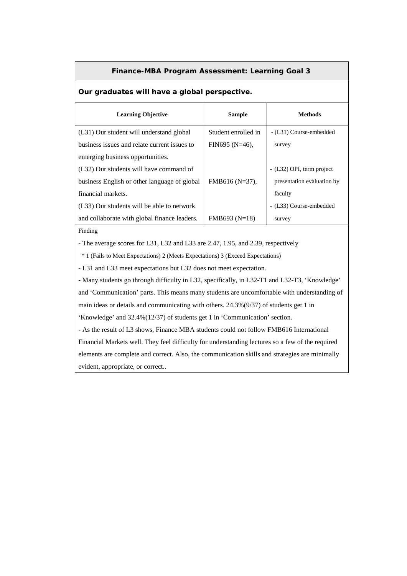#### **Finance-MBA Program Assessment: Learning Goal 3**

### **Our graduates will have a global perspective.**

| <b>Learning Objective</b>                    | <b>Sample</b>       | <b>Methods</b>             |
|----------------------------------------------|---------------------|----------------------------|
| (L31) Our student will understand global     | Student enrolled in | - (L31) Course-embedded    |
| business issues and relate current issues to | $FIN695 (N=46)$ ,   | survey                     |
| emerging business opportunities.             |                     |                            |
| (L32) Our students will have command of      |                     | - (L32) OPI, term project  |
| business English or other language of global | $FMB616(N=37)$ ,    | presentation evaluation by |
| financial markets.                           |                     | faculty                    |
| (L33) Our students will be able to network   |                     | - (L33) Course-embedded    |
| and collaborate with global finance leaders. | $FMB693 (N=18)$     | survey                     |

Finding

- The average scores for L31, L32 and L33 are 2.47, 1.95, and 2.39, respectively

\* 1 (Fails to Meet Expectations) 2 (Meets Expectations) 3 (Exceed Expectations)

**-** L31 and L33 meet expectations but L32 does not meet expectation.

- Many students go through difficulty in L32, specifically, in L32-T1 and L32-T3, 'Knowledge' and 'Communication' parts. This means many students are uncomfortable with understanding of main ideas or details and communicating with others. 24.3%(9/37) of students get 1 in 'Knowledge' and 32.4%(12/37) of students get 1 in 'Communication' section. - As the result of L3 shows, Finance MBA students could not follow FMB616 International

Financial Markets well. They feel difficulty for understanding lectures so a few of the required elements are complete and correct. Also, the communication skills and strategies are minimally evident, appropriate, or correct..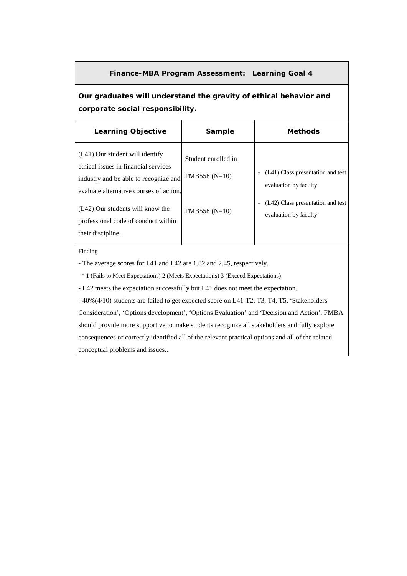### **Finance-MBA Program Assessment: Learning Goal 4**

**Our graduates will understand the gravity of ethical behavior and corporate social responsibility.**

| <b>Learning Objective</b>                                                                                                                                                                                                                                     | Sample                                                  | <b>Methods</b>                                                                                                           |
|---------------------------------------------------------------------------------------------------------------------------------------------------------------------------------------------------------------------------------------------------------------|---------------------------------------------------------|--------------------------------------------------------------------------------------------------------------------------|
| $(L41)$ Our student will identify<br>ethical issues in financial services<br>industry and be able to recognize and<br>evaluate alternative courses of action.<br>(L42) Our students will know the<br>professional code of conduct within<br>their discipline. | Student enrolled in<br>$FMB558(N=10)$<br>$FMB558(N=10)$ | (L41) Class presentation and test<br>evaluation by faculty<br>(L42) Class presentation and test<br>evaluation by faculty |

Finding

- The average scores for L41 and L42 are 1.82 and 2.45, respectively.

\* 1 (Fails to Meet Expectations) 2 (Meets Expectations) 3 (Exceed Expectations)

**-** L42 meets the expectation successfully but L41 does not meet the expectation.

- 40%(4/10) students are failed to get expected score on L41-T2, T3, T4, T5, 'Stakeholders Consideration', 'Options development', 'Options Evaluation' and 'Decision and Action'. FMBA should provide more supportive to make students recognize all stakeholders and fully explore consequences or correctly identified all of the relevant practical options and all of the related conceptual problems and issues..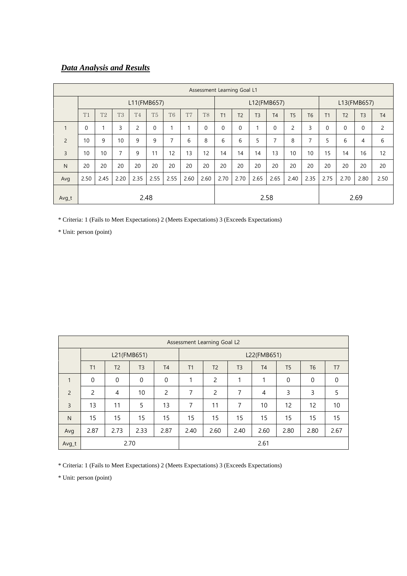# *Data Analysis and Results*

| Assessment Learning Goal L1 |             |                |           |                |                |                |                |                |                |                |                |                |                |                |              |                |                |                |
|-----------------------------|-------------|----------------|-----------|----------------|----------------|----------------|----------------|----------------|----------------|----------------|----------------|----------------|----------------|----------------|--------------|----------------|----------------|----------------|
|                             | L11(FMB657) |                |           |                |                |                | L12(FMB657)    |                |                |                |                | L13(FMB657)    |                |                |              |                |                |                |
|                             | T1          | T <sub>2</sub> | <b>T3</b> | T <sub>4</sub> | T <sub>5</sub> | T <sub>6</sub> | T <sub>7</sub> | T <sub>8</sub> | T <sub>1</sub> | T <sub>2</sub> | T <sub>3</sub> | T <sub>4</sub> | T <sub>5</sub> | T <sub>6</sub> | T1           | T <sub>2</sub> | T <sub>3</sub> | T <sub>4</sub> |
| 1                           | $\mathbf 0$ | 1              | 3         | 2              | $\mathbf 0$    | 1              |                | $\Omega$       | $\Omega$       | 0              |                | $\Omega$       | $\overline{c}$ | 3              | $\mathbf{0}$ | $\mathbf{0}$   | $\mathbf 0$    | 2              |
| $\overline{2}$              | 10          | 9              | 10        | 9              | 9              | $\overline{7}$ | 6              | 8              | 6              | 6              | 5              | 7              | 8              | $\overline{7}$ | 5            | 6              | 4              | 6              |
| 3                           | 10          | 10             | 7         | 9              | 11             | 12             | 13             | 12             | 14             | 14             | 14             | 13             | 10             | 10             | 15           | 14             | 16             | 12             |
| N                           | 20          | 20             | 20        | 20             | 20             | 20             | 20             | 20             | 20             | 20             | 20             | 20             | 20             | 20             | 20           | 20             | 20             | 20             |
| Avg                         | 2.50        | 2.45           | 2.20      | 2.35           | 2.55           | 2.55           | 2.60           | 2.60           | 2.70           | 2.70           | 2.65           | 2.65           | 2.40           | 2.35           | 2.75         | 2.70           | 2.80           | 2.50           |
| Avg_t                       | 2.48        |                |           |                |                |                |                |                |                | 2.58           |                |                |                |                | 2.69         |                |                |                |

\* Criteria: 1 (Fails to Meet Expectations) 2 (Meets Expectations) 3 (Exceeds Expectations)

\* Unit: person (point)

|                | Assessment Learning Goal L2 |                |                |                |                                                                       |             |      |                |                   |                |                |  |  |
|----------------|-----------------------------|----------------|----------------|----------------|-----------------------------------------------------------------------|-------------|------|----------------|-------------------|----------------|----------------|--|--|
|                | L21(FMB651)                 |                |                |                |                                                                       | L22(FMB651) |      |                |                   |                |                |  |  |
|                | T1                          | T <sub>2</sub> | T <sub>3</sub> | T <sub>4</sub> | T <sub>2</sub><br>T <sub>3</sub><br><b>T4</b><br>T <sub>5</sub><br>T1 |             |      |                |                   | T <sub>6</sub> | T <sub>7</sub> |  |  |
| $\mathbf{1}$   | $\Omega$                    | $\mathbf 0$    | $\mathbf 0$    | $\mathbf{0}$   | 1                                                                     | 2           | 1    | 1              | $\mathbf 0$       | $\mathbf 0$    | $\mathbf 0$    |  |  |
| $\overline{2}$ | 2                           | 4              | 10             | 2              | 7                                                                     | 2           | 7    | $\overline{4}$ | 3                 | 3              | 5              |  |  |
| $\overline{3}$ | 13                          | 11             | 5              | 13             | 7                                                                     | 11          | 7    | 10             | $12 \overline{ }$ | 12             | 10             |  |  |
| N              | 15                          | 15             | 15             | 15             | 15                                                                    | 15          | 15   | 15             | 15                | 15             | 15             |  |  |
| Avg            | 2.87                        | 2.73           | 2.33           | 2.87           | 2.40                                                                  | 2.60        | 2.40 | 2.60           | 2.80              | 2.80           | 2.67           |  |  |
| 2.70<br>Avg_t  |                             |                |                |                |                                                                       |             |      | 2.61           |                   |                |                |  |  |

\* Criteria: 1 (Fails to Meet Expectations) 2 (Meets Expectations) 3 (Exceeds Expectations)

\* Unit: person (point)